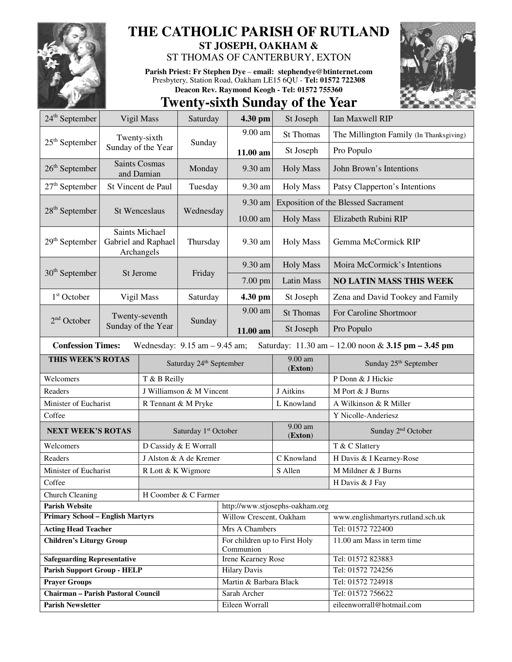

## **THE CATHOLIC PARISH OF RUTLAND**

**ST JOSEPH, OAKHAM &**  ST THOMAS OF CANTERBURY, EXTON

**Parish Priest: Fr Stephen Dye** – **email: stephendye@btinternet.com** Presbytery, Station Road, Oakham LE15 6QU - **Tel: 01572 722308 Deacon Rev. Raymond Keogh - Tel: 01572 755360** 



## **Twenty-sixth Sunday of the Year**

| $24th$ September                                                                                                                                        | Vigil Mass                                                 |                          | Saturday                            | 4.30 pm                                   | St Joseph          | Ian Maxwell RIP                                        |  |  |  |  |
|---------------------------------------------------------------------------------------------------------------------------------------------------------|------------------------------------------------------------|--------------------------|-------------------------------------|-------------------------------------------|--------------------|--------------------------------------------------------|--|--|--|--|
| $25th$ September                                                                                                                                        |                                                            | Twenty-sixth             | Sunday                              | 9.00 am                                   | <b>St Thomas</b>   | The Millington Family (In Thanksgiving)                |  |  |  |  |
|                                                                                                                                                         | Sunday of the Year                                         |                          |                                     | 11.00 am                                  | St Joseph          | Pro Populo                                             |  |  |  |  |
| $26th$ September                                                                                                                                        | <b>Saints Cosmas</b><br>and Damian                         |                          | Monday                              | 9.30 am                                   | <b>Holy Mass</b>   | John Brown's Intentions                                |  |  |  |  |
| $27th$ September                                                                                                                                        | St Vincent de Paul                                         |                          | Tuesday                             | 9.30 am                                   | <b>Holy Mass</b>   | Patsy Clapperton's Intentions                          |  |  |  |  |
| $28th$ September<br>St Wenceslaus                                                                                                                       |                                                            |                          | Wednesday                           | 9.30 am                                   |                    | <b>Exposition of the Blessed Sacrament</b>             |  |  |  |  |
|                                                                                                                                                         |                                                            |                          |                                     | 10.00 am                                  | <b>Holy Mass</b>   | Elizabeth Rubini RIP                                   |  |  |  |  |
| $29th$ September                                                                                                                                        | <b>Saints Michael</b><br>Gabriel and Raphael<br>Archangels |                          | Thursday                            | 9.30 am                                   | <b>Holy Mass</b>   | Gemma McCormick RIP                                    |  |  |  |  |
|                                                                                                                                                         |                                                            |                          | Friday                              | 9.30 am                                   | <b>Holy Mass</b>   | Moira McCormick's Intentions                           |  |  |  |  |
| $30th$ September                                                                                                                                        |                                                            | St Jerome                |                                     | 7.00 pm                                   | Latin Mass         | <b>NO LATIN MASS THIS WEEK</b>                         |  |  |  |  |
| $1st$ October                                                                                                                                           | Vigil Mass                                                 |                          | Saturday                            | 4.30 pm                                   | St Joseph          | Zena and David Tookey and Family                       |  |  |  |  |
|                                                                                                                                                         | Twenty-seventh<br>Sunday of the Year                       |                          | Sunday                              | 9.00 am                                   | <b>St Thomas</b>   | For Caroline Shortmoor                                 |  |  |  |  |
| $2nd$ October                                                                                                                                           |                                                            |                          |                                     | 11.00 am                                  | St Joseph          | Pro Populo                                             |  |  |  |  |
| <b>Confession Times:</b><br>Wednesday: $9.15$ am $- 9.45$ am;<br>Saturday: $11.30 \text{ am} - 12.00 \text{ noon} \& 3.15 \text{ pm} - 3.45 \text{ pm}$ |                                                            |                          |                                     |                                           |                    |                                                        |  |  |  |  |
| THIS WEEK'S ROTAS                                                                                                                                       |                                                            |                          | Saturday 24 <sup>th</sup> September |                                           | 9.00 am<br>(Exton) | Sunday 25 <sup>th</sup> September                      |  |  |  |  |
| Welcomers<br>T & B Reilly                                                                                                                               |                                                            |                          |                                     |                                           |                    | P Donn & J Hickie                                      |  |  |  |  |
| Readers                                                                                                                                                 |                                                            | J Williamson & M Vincent |                                     |                                           | J Aitkins          | M Port & J Burns                                       |  |  |  |  |
| Minister of Eucharist                                                                                                                                   |                                                            | R Tennant & M Pryke      |                                     |                                           | L Knowland         | A Wilkinson & R Miller                                 |  |  |  |  |
| Coffee                                                                                                                                                  |                                                            |                          |                                     |                                           |                    | Y Nicolle-Anderiesz                                    |  |  |  |  |
| <b>NEXT WEEK'S ROTAS</b>                                                                                                                                |                                                            |                          | Saturday 1 <sup>st</sup> October    |                                           | 9.00 am<br>(Exton) | Sunday 2 <sup>nd</sup> October                         |  |  |  |  |
| Welcomers                                                                                                                                               |                                                            |                          | D Cassidy & E Worrall               |                                           |                    | T & C Slattery                                         |  |  |  |  |
| Readers                                                                                                                                                 |                                                            |                          | J Alston & A de Kremer              |                                           | C Knowland         | H Davis & I Kearney-Rose                               |  |  |  |  |
| Minister of Eucharist                                                                                                                                   |                                                            | R Lott & K Wigmore       |                                     |                                           | S Allen            | M Mildner & J Burns                                    |  |  |  |  |
| Coffee                                                                                                                                                  |                                                            |                          |                                     |                                           |                    | H Davis & J Fay                                        |  |  |  |  |
| Church Cleaning                                                                                                                                         |                                                            |                          | H Coomber & C Farmer                |                                           |                    |                                                        |  |  |  |  |
| <b>Parish Website</b>                                                                                                                                   |                                                            |                          |                                     | http://www.stjosephs-oakham.org           |                    |                                                        |  |  |  |  |
| <b>Primary School - English Martyrs</b>                                                                                                                 |                                                            |                          |                                     | Willow Crescent, Oakham<br>Mrs A Chambers |                    | www.englishmartyrs.rutland.sch.uk<br>Tel: 01572 722400 |  |  |  |  |
| <b>Acting Head Teacher</b><br><b>Children's Liturgy Group</b>                                                                                           |                                                            |                          |                                     | For children up to First Holy             |                    | 11.00 am Mass in term time                             |  |  |  |  |
|                                                                                                                                                         |                                                            |                          |                                     | Communion                                 |                    |                                                        |  |  |  |  |
| <b>Safeguarding Representative</b>                                                                                                                      |                                                            |                          |                                     | <b>Irene Kearney Rose</b>                 |                    | Tel: 01572 823883                                      |  |  |  |  |
| <b>Parish Support Group - HELP</b>                                                                                                                      |                                                            |                          |                                     | <b>Hilary Davis</b>                       |                    | Tel: 01572 724256                                      |  |  |  |  |
| <b>Prayer Groups</b><br>Chairman - Parish Pastoral Council                                                                                              |                                                            |                          |                                     | Martin & Barbara Black                    |                    | Tel: 01572 724918<br>Tel: 01572 756622                 |  |  |  |  |
|                                                                                                                                                         |                                                            |                          |                                     | Sarah Archer                              |                    | eileenworrall@hotmail.com                              |  |  |  |  |
| <b>Parish Newsletter</b>                                                                                                                                |                                                            |                          |                                     | Eileen Worrall                            |                    |                                                        |  |  |  |  |